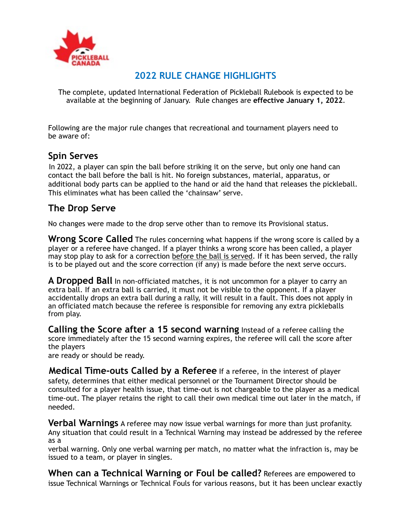

## **2022 RULE CHANGE HIGHLIGHTS**

The complete, updated International Federation of Pickleball Rulebook is expected to be available at the beginning of January. Rule changes are **effective January 1, 2022**.

Following are the major rule changes that recreational and tournament players need to be aware of:

## **Spin Serves**

In 2022, a player can spin the ball before striking it on the serve, but only one hand can contact the ball before the ball is hit. No foreign substances, material, apparatus, or additional body parts can be applied to the hand or aid the hand that releases the pickleball. This eliminates what has been called the 'chainsaw' serve.

## **The Drop Serve**

No changes were made to the drop serve other than to remove its Provisional status.

**Wrong Score Called** The rules concerning what happens if the wrong score is called by a player or a referee have changed. If a player thinks a wrong score has been called, a player may stop play to ask for a correction before the ball is served. If it has been served, the rally is to be played out and the score correction (if any) is made before the next serve occurs.

**A Dropped Ball** In non-officiated matches, it is not uncommon for a player to carry an extra ball. If an extra ball is carried, it must not be visible to the opponent. If a player accidentally drops an extra ball during a rally, it will result in a fault. This does not apply in an officiated match because the referee is responsible for removing any extra pickleballs from play.

**Calling the Score after a 15 second warning** Instead of a referee calling the score immediately after the 15 second warning expires, the referee will call the score after the players

are ready or should be ready.

**Medical Time-outs Called by a Referee** If a referee, in the interest of player safety, determines that either medical personnel or the Tournament Director should be consulted for a player health issue, that time-out is not chargeable to the player as a medical time-out. The player retains the right to call their own medical time out later in the match, if needed.

**Verbal Warnings** A referee may now issue verbal warnings for more than just profanity. Any situation that could result in a Technical Warning may instead be addressed by the referee as a

verbal warning. Only one verbal warning per match, no matter what the infraction is, may be issued to a team, or player in singles.

**When can a Technical Warning or Foul be called?** Referees are empowered to issue Technical Warnings or Technical Fouls for various reasons, but it has been unclear exactly